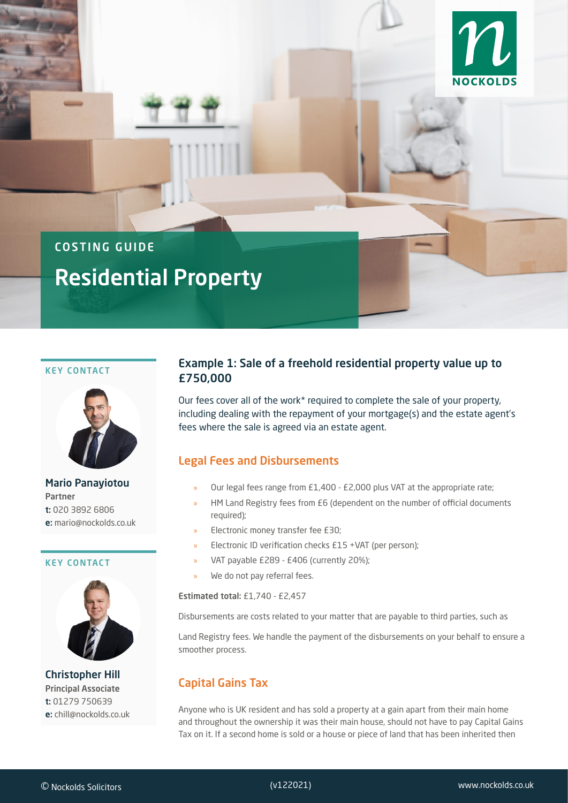

# COSTING GUIDE

# Residential Property

#### KEY CONTACT



Mario Panayiotou Partner t: 020 3892 6806 e: mario@nockolds.co.uk

#### KEY CONTACT



Christopher Hill Principal Associate t: 01279 750639 e: chill@nockolds.co.uk

# Example 1: Sale of a freehold residential property value up to £750,000

Our fees cover all of the work\* required to complete the sale of your property, including dealing with the repayment of your mortgage(s) and the estate agent's fees where the sale is agreed via an estate agent.

## Legal Fees and Disbursements

- » Our legal fees range from £1,400 £2,000 plus VAT at the appropriate rate;
- HM Land Registry fees from £6 (dependent on the number of official documents required);
- » Electronic money transfer fee £30;
- » Electronic ID verification checks £15 +VAT (per person);
- » VAT payable £289 £406 (currently 20%);
- We do not pay referral fees.

Estimated total: £1,740 - £2,457

Disbursements are costs related to your matter that are payable to third parties, such as

Land Registry fees. We handle the payment of the disbursements on your behalf to ensure a smoother process.

## Capital Gains Tax

Anyone who is UK resident and has sold a property at a gain apart from their main home and throughout the ownership it was their main house, should not have to pay Capital Gains Tax on it. If a second home is sold or a house or piece of land that has been inherited then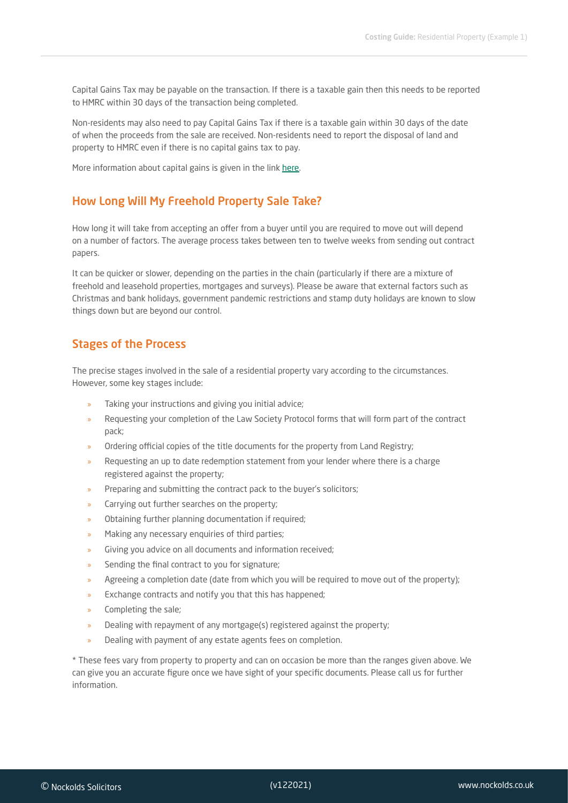Capital Gains Tax may be payable on the transaction. If there is a taxable gain then this needs to be reported to HMRC within 30 days of the transaction being completed.

Non-residents may also need to pay Capital Gains Tax if there is a taxable gain within 30 days of the date of when the proceeds from the sale are received. Non-residents need to report the disposal of land and property to HMRC even if there is no capital gains tax to pay.

More information about capital gains is given in the link [here.](https://www.gov.uk/capital-gains-tax/report-and-pay-capital-gains-tax)

#### How Long Will My Freehold Property Sale Take?

How long it will take from accepting an offer from a buyer until you are required to move out will depend on a number of factors. The average process takes between ten to twelve weeks from sending out contract papers.

It can be quicker or slower, depending on the parties in the chain (particularly if there are a mixture of freehold and leasehold properties, mortgages and surveys). Please be aware that external factors such as Christmas and bank holidays, government pandemic restrictions and stamp duty holidays are known to slow things down but are beyond our control.

#### Stages of the Process

The precise stages involved in the sale of a residential property vary according to the circumstances. However, some key stages include:

- Taking your instructions and giving you initial advice;
- » Requesting your completion of the Law Society Protocol forms that will form part of the contract pack;
- » Ordering official copies of the title documents for the property from Land Registry;
- » Requesting an up to date redemption statement from your lender where there is a charge registered against the property;
- » Preparing and submitting the contract pack to the buyer's solicitors;
- » Carrying out further searches on the property;
- » Obtaining further planning documentation if required;
- » Making any necessary enquiries of third parties;
- » Giving you advice on all documents and information received;
- Sending the final contract to you for signature;
- » Agreeing a completion date (date from which you will be required to move out of the property);
- » Exchange contracts and notify you that this has happened;
- » Completing the sale;
- » Dealing with repayment of any mortgage(s) registered against the property;
- » Dealing with payment of any estate agents fees on completion.

\* These fees vary from property to property and can on occasion be more than the ranges given above. We can give you an accurate figure once we have sight of your specific documents. Please call us for further information.